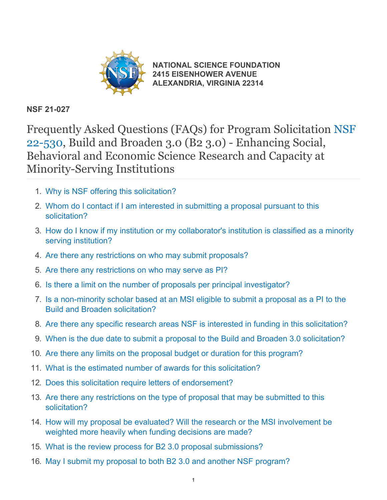

**[NATIONAL SCIENCE FOUNDATION](https://www.nsf.gov/) [2415 EISENHOWER AVENUE](https://www.nsf.gov/) [ALEXANDRIA, VIRGINIA 22314](https://www.nsf.gov/)**

### **NSF 21-027**

Frequently Asked Questions (FAQs) for Program Solicitation [NSF](https://www.nsf.gov/publications/pub_summ.jsp?ods_key=nsf22530) [22-530](https://www.nsf.gov/publications/pub_summ.jsp?ods_key=nsf22530), Build and Broaden 3.0 (B2 3.0) - Enhancing Social, Behavioral and Economic Science Research and Capacity at Minority-Serving Institutions

- 1. [Why is NSF offering this solicitation?](#page-1-0)
- 2. [Whom do I contact if I am interested in submitting a proposal pursuant to this](#page-1-1) [solicitation?](#page-1-1)
- 3. [How do I know if my institution or my collaborator's institution is classified as a minority](#page-1-2) [serving institution?](#page-1-2)
- 4. [Are there any restrictions on who may submit proposals?](#page-2-0)
- 5. [Are there any restrictions on who may serve as PI?](#page-2-1)
- 6. [Is there a limit on the number of proposals per principal investigator?](#page-2-2)
- 7. [Is a non-minority scholar based at an MSI eligible to submit a proposal as a PI to the](#page-2-3) [Build and Broaden solicitation?](#page-2-3)
- 8. [Are there any specific research areas NSF is interested in funding in this solicitation?](#page-2-4)
- 9. [When is the due date to submit a proposal to the Build and Broaden 3.0 solicitation?](#page-3-0)
- 10. [Are there any limits on the proposal budget or duration for this program?](#page-3-1)
- 11. [What is the estimated number of awards for this solicitation?](#page-3-2)
- 12. [Does this solicitation require letters of endorsement?](#page-3-3)
- 13. [Are there any restrictions on the type of proposal that may be submitted to this](#page-3-4) [solicitation?](#page-3-4)
- 14. [How will my proposal be evaluated? Will the research or the MSI involvement be](#page-3-5) [weighted more heavily when funding decisions are made?](#page-3-5)
- 15. [What is the review process for B2 3.0 proposal submissions?](#page-4-0)
- 16. [May I submit my proposal to both B2 3.0 and another NSF program?](#page-4-1)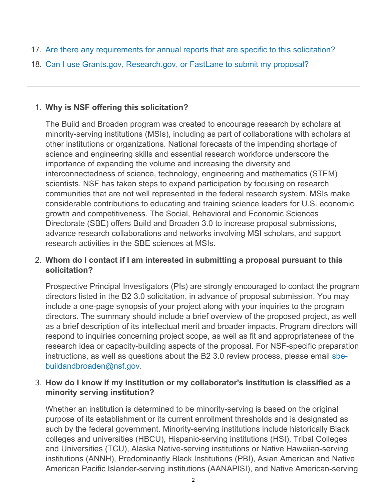- 17. [Are there any requirements for annual reports that are specific to this solicitation?](#page-4-2)
- 18. [Can I use Grants.gov, Research.gov, or FastLane to submit my proposal?](#page-4-3)

# <span id="page-1-0"></span>1. **Why is NSF offering this solicitation?**

The Build and Broaden program was created to encourage research by scholars at minority-serving institutions (MSIs), including as part of collaborations with scholars at other institutions or organizations. National forecasts of the impending shortage of science and engineering skills and essential research workforce underscore the importance of expanding the volume and increasing the diversity and interconnectedness of science, technology, engineering and mathematics (STEM) scientists. NSF has taken steps to expand participation by focusing on research communities that are not well represented in the federal research system. MSIs make considerable contributions to educating and training science leaders for U.S. economic growth and competitiveness. The Social, Behavioral and Economic Sciences Directorate (SBE) offers Build and Broaden 3.0 to increase proposal submissions, advance research collaborations and networks involving MSI scholars, and support research activities in the SBE sciences at MSIs.

## <span id="page-1-1"></span>2. **Whom do I contact if I am interested in submitting a proposal pursuant to this solicitation?**

Prospective Principal Investigators (PIs) are strongly encouraged to contact the program directors listed in the B2 3.0 solicitation, in advance of proposal submission. You may include a one-page synopsis of your project along with your inquiries to the program directors. The summary should include a brief overview of the proposed project, as well as a brief description of its intellectual merit and broader impacts. Program directors will respond to inquiries concerning project scope, as well as fit and appropriateness of the research idea or capacity-building aspects of the proposal. For NSF-specific preparation instructions, as well as questions about the B2 3.0 review process, please email [sbe](mailto:sbe-buildandbroaden@nsf.gov)[buildandbroaden@nsf.gov](mailto:sbe-buildandbroaden@nsf.gov).

## <span id="page-1-2"></span>3. **How do I know if my institution or my collaborator's institution is classified as a minority serving institution?**

Whether an institution is determined to be minority-serving is based on the original purpose of its establishment or its current enrollment thresholds and is designated as such by the federal government. Minority-serving institutions include historically Black colleges and universities (HBCU), Hispanic-serving institutions (HSI), Tribal Colleges and Universities (TCU), Alaska Native-serving institutions or Native Hawaiian-serving institutions (ANNH), Predominantly Black Institutions (PBI), Asian American and Native American Pacific Islander-serving institutions (AANAPISI), and Native American-serving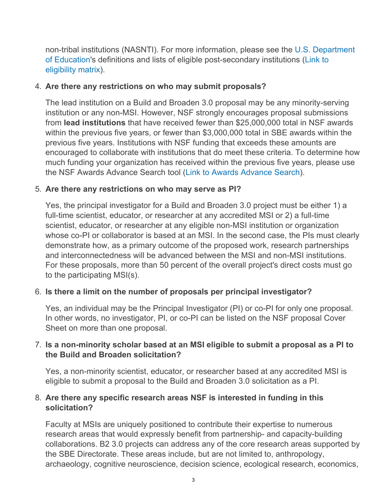non-tribal institutions (NASNTI). For more information, please see the [U.S. Department](https://www2.ed.gov/about/offices/list/ocr/edlite-minorityinst.html) [of Education](https://www2.ed.gov/about/offices/list/ocr/edlite-minorityinst.html)'s definitions and lists of eligible post-secondary institutions [\(Link to](https://www2.ed.gov/about/offices/list/ope/idues/eligibility.html) [eligibility matrix](https://www2.ed.gov/about/offices/list/ope/idues/eligibility.html)).

### <span id="page-2-0"></span>4. **Are there any restrictions on who may submit proposals?**

The lead institution on a Build and Broaden 3.0 proposal may be any minority-serving institution or any non-MSI. However, NSF strongly encourages proposal submissions from **lead institutions** that have received fewer than \$25,000,000 total in NSF awards within the previous five years, or fewer than \$3,000,000 total in SBE awards within the previous five years. Institutions with NSF funding that exceeds these amounts are encouraged to collaborate with institutions that do meet these criteria. To determine how much funding your organization has received within the previous five years, please use the NSF Awards Advance Search tool [\(Link to Awards Advance Search](https://www.nsf.gov/awardsearch/advancedSearch.jsp)).

### <span id="page-2-1"></span>5. **Are there any restrictions on who may serve as PI?**

Yes, the principal investigator for a Build and Broaden 3.0 project must be either 1) a full-time scientist, educator, or researcher at any accredited MSI or 2) a full-time scientist, educator, or researcher at any eligible non-MSI institution or organization whose co-PI or collaborator is based at an MSI. In the second case, the PIs must clearly demonstrate how, as a primary outcome of the proposed work, research partnerships and interconnectedness will be advanced between the MSI and non-MSI institutions. For these proposals, more than 50 percent of the overall project's direct costs must go to the participating MSI(s).

# <span id="page-2-2"></span>6. **Is there a limit on the number of proposals per principal investigator?**

Yes, an individual may be the Principal Investigator (PI) or co-PI for only one proposal. In other words, no investigator, PI, or co-PI can be listed on the NSF proposal Cover Sheet on more than one proposal.

## <span id="page-2-3"></span>7. **Is a non-minority scholar based at an MSI eligible to submit a proposal as a PI to the Build and Broaden solicitation?**

Yes, a non-minority scientist, educator, or researcher based at any accredited MSI is eligible to submit a proposal to the Build and Broaden 3.0 solicitation as a PI.

## <span id="page-2-4"></span>8. **Are there any specific research areas NSF is interested in funding in this solicitation?**

Faculty at MSIs are uniquely positioned to contribute their expertise to numerous research areas that would expressly benefit from partnership- and capacity-building collaborations. B2 3.0 projects can address any of the core research areas supported by the SBE Directorate. These areas include, but are not limited to, anthropology, archaeology, cognitive neuroscience, decision science, ecological research, economics,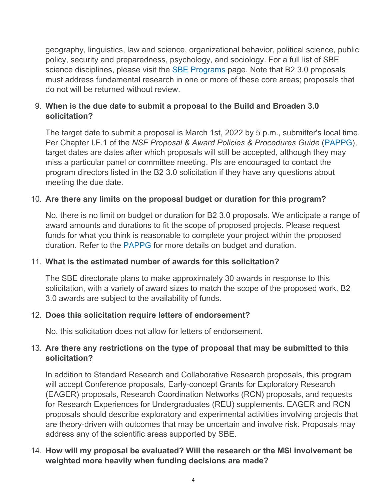geography, linguistics, law and science, organizational behavior, political science, public policy, security and preparedness, psychology, and sociology. For a full list of SBE science disciplines, please visit the [SBE Programs](https://www.nsf.gov/funding/programs.jsp?org=SBE) page. Note that B2 3.0 proposals must address fundamental research in one or more of these core areas; proposals that do not will be returned without review.

# <span id="page-3-0"></span>9. **When is the due date to submit a proposal to the Build and Broaden 3.0 solicitation?**

The target date to submit a proposal is March 1st, 2022 by 5 p.m., submitter's local time. Per Chapter I.F.1 of the *NSF Proposal & Award Policies & Procedures Guide* [\(PAPPG](https://www.nsf.gov/publications/pub_summ.jsp?ods_key=pappg)), target dates are dates after which proposals will still be accepted, although they may miss a particular panel or committee meeting. PIs are encouraged to contact the program directors listed in the B2 3.0 solicitation if they have any questions about meeting the due date.

### <span id="page-3-1"></span>10. **Are there any limits on the proposal budget or duration for this program?**

No, there is no limit on budget or duration for B2 3.0 proposals. We anticipate a range of award amounts and durations to fit the scope of proposed projects. Please request funds for what you think is reasonable to complete your project within the proposed duration. Refer to the [PAPPG](https://www.nsf.gov/publications/pub_summ.jsp?ods_key=pappg) for more details on budget and duration.

### <span id="page-3-2"></span>11. **What is the estimated number of awards for this solicitation?**

The SBE directorate plans to make approximately 30 awards in response to this solicitation, with a variety of award sizes to match the scope of the proposed work. B2 3.0 awards are subject to the availability of funds.

### <span id="page-3-3"></span>12. **Does this solicitation require letters of endorsement?**

No, this solicitation does not allow for letters of endorsement.

### <span id="page-3-4"></span>13. **Are there any restrictions on the type of proposal that may be submitted to this solicitation?**

In addition to Standard Research and Collaborative Research proposals, this program will accept Conference proposals, Early-concept Grants for Exploratory Research (EAGER) proposals, Research Coordination Networks (RCN) proposals, and requests for Research Experiences for Undergraduates (REU) supplements. EAGER and RCN proposals should describe exploratory and experimental activities involving projects that are theory-driven with outcomes that may be uncertain and involve risk. Proposals may address any of the scientific areas supported by SBE.

### <span id="page-3-5"></span>14. **How will my proposal be evaluated? Will the research or the MSI involvement be weighted more heavily when funding decisions are made?**